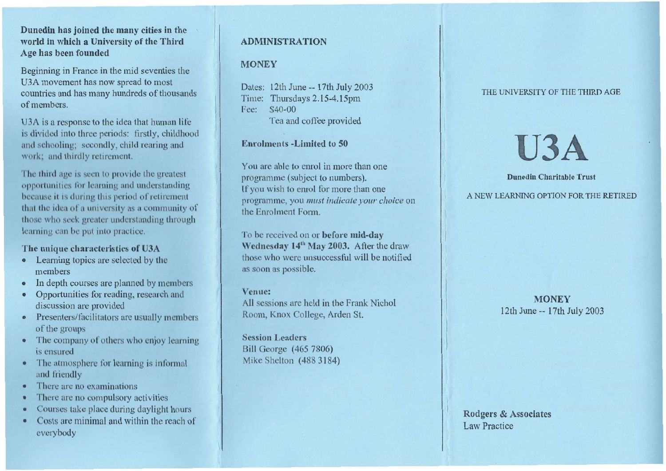## **Dunedin has joined the many cities in the world in which a University of the Third Age has been founded**

Beginning in France in the mid seventies the U3A movement has now spread to most countries and has many hundreds of thousands of members.

U3A is a response to the idea that human life is divided into three periods: firstly, childhood and schooling; secondly, child rearing and work; and thirdly retirement.

The third age is seen to provide the greatest opportunities for learning and understanding because it is during this period of retirement that the idea of a university as a community of those who seek greater understanding through learning can be put into practice.

## **The unique characteristics of U3A**

- Learning topics are selected by the members
- In depth courses are planned by members
- Opportunities for reading, research and discussion are provided
- Presenters/facilitators are usually members of the groups
- The company of others who enjoy learning is ensured
- The atmosphere for learning is informal and friendly
- There are no examinations
- There are no compulsory activities
- Courses take place during daylight hours
- Costs are minimal and within the reach of everybody

# ADMINISTRATION

# **MONEY**

Dates: 12th June -- 17th July 2003 Time: Thursdays 2.15-4.15pm Fee: \$40-00 Tea and coffee provided

**Enrolments -Limited to 50** 

You are able to enrol in more than one programme (subject to numbers). If you wish to enrol for more than one programme, you *must indicate your choice* on the Enrolment Form.

To be received on or **before mid-day**  Wednesday 14<sup>th</sup> May 2003. After the draw those who were unsuccessful will be notified as soon as possible.

## **Venue:**

All sessions are held in the Frank Nichol Room, Knox College, Arden St.

**Session Leaders**  Bill George (465 7806) Mike Shelton (488 3184)

#### THE UNIVERSITY OF THE THIRD AGE

# **U3A**

## **Dunedin Charitable Trust**

A NEW LEARNING OPTION FOR THE RETIRED

**MONEY**  12th June -- 17th July 2003

Rodgers & Associates Law Practice